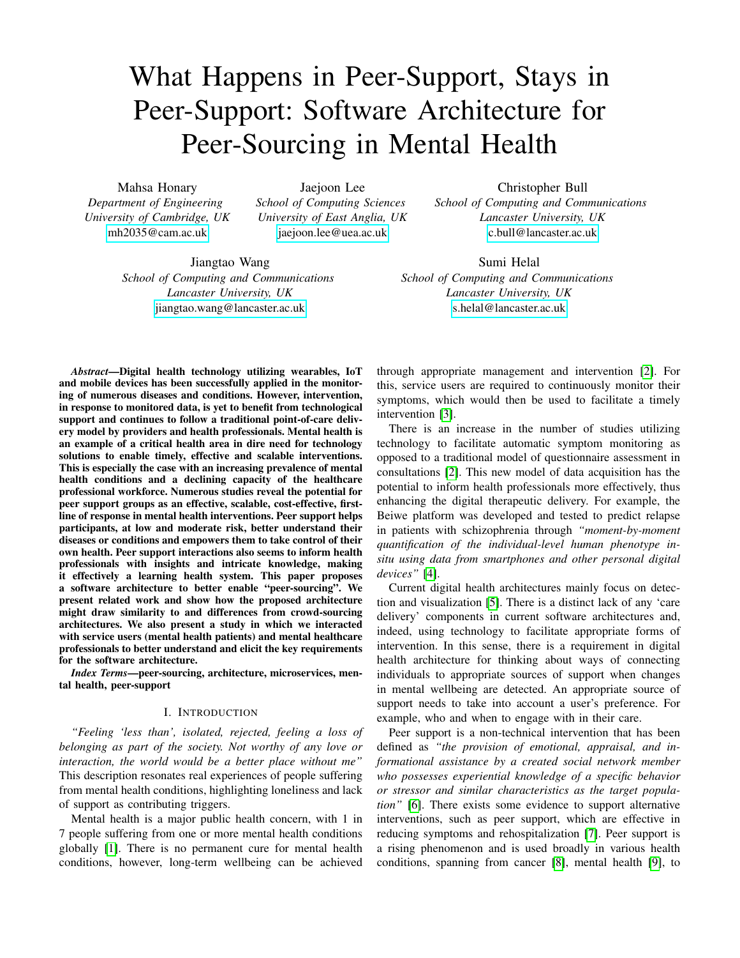# What Happens in Peer-Support, Stays in Peer-Support: Software Architecture for Peer-Sourcing in Mental Health

Mahsa Honary

*Department of Engineering University of Cambridge, UK* [mh2035@cam.ac.uk](mailto:mh2035@cam.ac.uk)

Jaejoon Lee *School of Computing Sciences University of East Anglia, UK* [jaejoon.lee@uea.ac.uk](mailto:jaejoon.lee@uea.ac.uk)

Jiangtao Wang *School of Computing and Communications Lancaster University, UK* [jiangtao.wang@lancaster.ac.uk](mailto:jiangtao.wang@lancaster.ac.uk)

Sumi Helal *School of Computing and Communications Lancaster University, UK*

[s.helal@lancaster.ac.uk](mailto:s.helal@lancaster.ac.uk)

Christopher Bull *School of Computing and Communications Lancaster University, UK* [c.bull@lancaster.ac.uk](mailto:c.bull@lancaster.ac.uk)

*Abstract*—Digital health technology utilizing wearables, IoT and mobile devices has been successfully applied in the monitoring of numerous diseases and conditions. However, intervention, in response to monitored data, is yet to benefit from technological support and continues to follow a traditional point-of-care delivery model by providers and health professionals. Mental health is an example of a critical health area in dire need for technology solutions to enable timely, effective and scalable interventions. This is especially the case with an increasing prevalence of mental health conditions and a declining capacity of the healthcare professional workforce. Numerous studies reveal the potential for peer support groups as an effective, scalable, cost-effective, firstline of response in mental health interventions. Peer support helps participants, at low and moderate risk, better understand their diseases or conditions and empowers them to take control of their own health. Peer support interactions also seems to inform health professionals with insights and intricate knowledge, making it effectively a learning health system. This paper proposes a software architecture to better enable "peer-sourcing". We present related work and show how the proposed architecture might draw similarity to and differences from crowd-sourcing architectures. We also present a study in which we interacted with service users (mental health patients) and mental healthcare professionals to better understand and elicit the key requirements for the software architecture.

*Index Terms*—peer-sourcing, architecture, microservices, mental health, peer-support

# I. INTRODUCTION

*"Feeling 'less than', isolated, rejected, feeling a loss of belonging as part of the society. Not worthy of any love or interaction, the world would be a better place without me"* This description resonates real experiences of people suffering from mental health conditions, highlighting loneliness and lack of support as contributing triggers.

Mental health is a major public health concern, with 1 in 7 people suffering from one or more mental health conditions globally [\[1\]](#page-8-0). There is no permanent cure for mental health conditions, however, long-term wellbeing can be achieved through appropriate management and intervention [\[2\]](#page-8-1). For this, service users are required to continuously monitor their symptoms, which would then be used to facilitate a timely intervention [\[3\]](#page-8-2).

There is an increase in the number of studies utilizing technology to facilitate automatic symptom monitoring as opposed to a traditional model of questionnaire assessment in consultations [\[2\]](#page-8-1). This new model of data acquisition has the potential to inform health professionals more effectively, thus enhancing the digital therapeutic delivery. For example, the Beiwe platform was developed and tested to predict relapse in patients with schizophrenia through *"moment-by-moment quantification of the individual-level human phenotype insitu using data from smartphones and other personal digital devices"* [\[4\]](#page-8-3).

Current digital health architectures mainly focus on detection and visualization [\[5\]](#page-8-4). There is a distinct lack of any 'care delivery' components in current software architectures and, indeed, using technology to facilitate appropriate forms of intervention. In this sense, there is a requirement in digital health architecture for thinking about ways of connecting individuals to appropriate sources of support when changes in mental wellbeing are detected. An appropriate source of support needs to take into account a user's preference. For example, who and when to engage with in their care.

Peer support is a non-technical intervention that has been defined as *"the provision of emotional, appraisal, and informational assistance by a created social network member who possesses experiential knowledge of a specific behavior or stressor and similar characteristics as the target population"* [\[6\]](#page-8-5). There exists some evidence to support alternative interventions, such as peer support, which are effective in reducing symptoms and rehospitalization [\[7\]](#page-8-6). Peer support is a rising phenomenon and is used broadly in various health conditions, spanning from cancer [\[8\]](#page-8-7), mental health [\[9\]](#page-8-8), to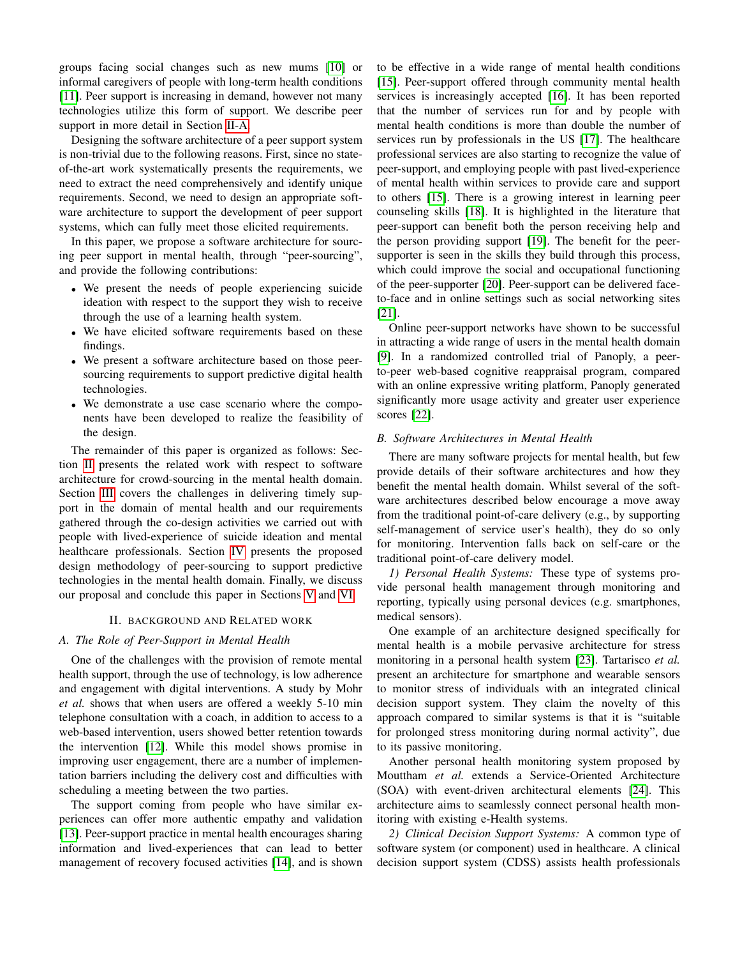groups facing social changes such as new mums [\[10\]](#page-9-0) or informal caregivers of people with long-term health conditions [\[11\]](#page-9-1). Peer support is increasing in demand, however not many technologies utilize this form of support. We describe peer support in more detail in Section [II-A.](#page-1-0)

Designing the software architecture of a peer support system is non-trivial due to the following reasons. First, since no stateof-the-art work systematically presents the requirements, we need to extract the need comprehensively and identify unique requirements. Second, we need to design an appropriate software architecture to support the development of peer support systems, which can fully meet those elicited requirements.

In this paper, we propose a software architecture for sourcing peer support in mental health, through "peer-sourcing", and provide the following contributions:

- We present the needs of people experiencing suicide ideation with respect to the support they wish to receive through the use of a learning health system.
- We have elicited software requirements based on these findings.
- We present a software architecture based on those peersourcing requirements to support predictive digital health technologies.
- We demonstrate a use case scenario where the components have been developed to realize the feasibility of the design.

The remainder of this paper is organized as follows: Section [II](#page-1-1) presents the related work with respect to software architecture for crowd-sourcing in the mental health domain. Section [III](#page-3-0) covers the challenges in delivering timely support in the domain of mental health and our requirements gathered through the co-design activities we carried out with people with lived-experience of suicide ideation and mental healthcare professionals. Section [IV](#page-6-0) presents the proposed design methodology of peer-sourcing to support predictive technologies in the mental health domain. Finally, we discuss our proposal and conclude this paper in Sections [V](#page-7-0) and [VI.](#page-8-9)

## II. BACKGROUND AND RELATED WORK

# <span id="page-1-1"></span><span id="page-1-0"></span>*A. The Role of Peer-Support in Mental Health*

One of the challenges with the provision of remote mental health support, through the use of technology, is low adherence and engagement with digital interventions. A study by Mohr *et al.* shows that when users are offered a weekly 5-10 min telephone consultation with a coach, in addition to access to a web-based intervention, users showed better retention towards the intervention [\[12\]](#page-9-2). While this model shows promise in improving user engagement, there are a number of implementation barriers including the delivery cost and difficulties with scheduling a meeting between the two parties.

The support coming from people who have similar experiences can offer more authentic empathy and validation [\[13\]](#page-9-3). Peer-support practice in mental health encourages sharing information and lived-experiences that can lead to better management of recovery focused activities [\[14\]](#page-9-4), and is shown

to be effective in a wide range of mental health conditions [\[15\]](#page-9-5). Peer-support offered through community mental health services is increasingly accepted [\[16\]](#page-9-6). It has been reported that the number of services run for and by people with mental health conditions is more than double the number of services run by professionals in the US [\[17\]](#page-9-7). The healthcare professional services are also starting to recognize the value of peer-support, and employing people with past lived-experience of mental health within services to provide care and support to others [\[15\]](#page-9-5). There is a growing interest in learning peer counseling skills [\[18\]](#page-9-8). It is highlighted in the literature that peer-support can benefit both the person receiving help and the person providing support [\[19\]](#page-9-9). The benefit for the peersupporter is seen in the skills they build through this process, which could improve the social and occupational functioning of the peer-supporter [\[20\]](#page-9-10). Peer-support can be delivered faceto-face and in online settings such as social networking sites [\[21\]](#page-9-11).

Online peer-support networks have shown to be successful in attracting a wide range of users in the mental health domain [\[9\]](#page-8-8). In a randomized controlled trial of Panoply, a peerto-peer web-based cognitive reappraisal program, compared with an online expressive writing platform, Panoply generated significantly more usage activity and greater user experience scores [\[22\]](#page-9-12).

# *B. Software Architectures in Mental Health*

There are many software projects for mental health, but few provide details of their software architectures and how they benefit the mental health domain. Whilst several of the software architectures described below encourage a move away from the traditional point-of-care delivery (e.g., by supporting self-management of service user's health), they do so only for monitoring. Intervention falls back on self-care or the traditional point-of-care delivery model.

*1) Personal Health Systems:* These type of systems provide personal health management through monitoring and reporting, typically using personal devices (e.g. smartphones, medical sensors).

One example of an architecture designed specifically for mental health is a mobile pervasive architecture for stress monitoring in a personal health system [\[23\]](#page-9-13). Tartarisco *et al.* present an architecture for smartphone and wearable sensors to monitor stress of individuals with an integrated clinical decision support system. They claim the novelty of this approach compared to similar systems is that it is "suitable for prolonged stress monitoring during normal activity", due to its passive monitoring.

Another personal health monitoring system proposed by Mouttham *et al.* extends a Service-Oriented Architecture (SOA) with event-driven architectural elements [\[24\]](#page-9-14). This architecture aims to seamlessly connect personal health monitoring with existing e-Health systems.

*2) Clinical Decision Support Systems:* A common type of software system (or component) used in healthcare. A clinical decision support system (CDSS) assists health professionals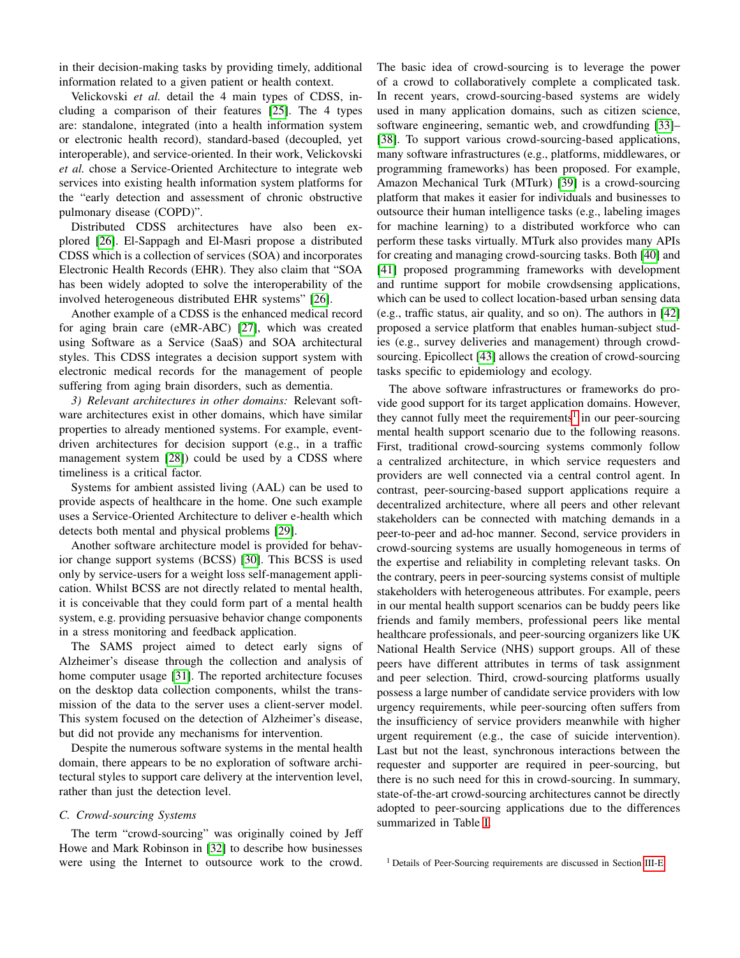in their decision-making tasks by providing timely, additional information related to a given patient or health context.

Velickovski *et al.* detail the 4 main types of CDSS, including a comparison of their features [\[25\]](#page-9-15). The 4 types are: standalone, integrated (into a health information system or electronic health record), standard-based (decoupled, yet interoperable), and service-oriented. In their work, Velickovski *et al.* chose a Service-Oriented Architecture to integrate web services into existing health information system platforms for the "early detection and assessment of chronic obstructive pulmonary disease (COPD)".

Distributed CDSS architectures have also been explored [\[26\]](#page-9-16). El-Sappagh and El-Masri propose a distributed CDSS which is a collection of services (SOA) and incorporates Electronic Health Records (EHR). They also claim that "SOA has been widely adopted to solve the interoperability of the involved heterogeneous distributed EHR systems" [\[26\]](#page-9-16).

Another example of a CDSS is the enhanced medical record for aging brain care (eMR-ABC) [\[27\]](#page-9-17), which was created using Software as a Service (SaaS) and SOA architectural styles. This CDSS integrates a decision support system with electronic medical records for the management of people suffering from aging brain disorders, such as dementia.

*3) Relevant architectures in other domains:* Relevant software architectures exist in other domains, which have similar properties to already mentioned systems. For example, eventdriven architectures for decision support (e.g., in a traffic management system [\[28\]](#page-9-18)) could be used by a CDSS where timeliness is a critical factor.

Systems for ambient assisted living (AAL) can be used to provide aspects of healthcare in the home. One such example uses a Service-Oriented Architecture to deliver e-health which detects both mental and physical problems [\[29\]](#page-9-19).

Another software architecture model is provided for behavior change support systems (BCSS) [\[30\]](#page-9-20). This BCSS is used only by service-users for a weight loss self-management application. Whilst BCSS are not directly related to mental health, it is conceivable that they could form part of a mental health system, e.g. providing persuasive behavior change components in a stress monitoring and feedback application.

The SAMS project aimed to detect early signs of Alzheimer's disease through the collection and analysis of home computer usage [\[31\]](#page-9-21). The reported architecture focuses on the desktop data collection components, whilst the transmission of the data to the server uses a client-server model. This system focused on the detection of Alzheimer's disease, but did not provide any mechanisms for intervention.

Despite the numerous software systems in the mental health domain, there appears to be no exploration of software architectural styles to support care delivery at the intervention level, rather than just the detection level.

## *C. Crowd-sourcing Systems*

The term "crowd-sourcing" was originally coined by Jeff Howe and Mark Robinson in [\[32\]](#page-9-22) to describe how businesses were using the Internet to outsource work to the crowd. The basic idea of crowd-sourcing is to leverage the power of a crowd to collaboratively complete a complicated task. In recent years, crowd-sourcing-based systems are widely used in many application domains, such as citizen science, software engineering, semantic web, and crowdfunding [\[33\]](#page-9-23)– [\[38\]](#page-9-24). To support various crowd-sourcing-based applications, many software infrastructures (e.g., platforms, middlewares, or programming frameworks) has been proposed. For example, Amazon Mechanical Turk (MTurk) [\[39\]](#page-9-25) is a crowd-sourcing platform that makes it easier for individuals and businesses to outsource their human intelligence tasks (e.g., labeling images for machine learning) to a distributed workforce who can perform these tasks virtually. MTurk also provides many APIs for creating and managing crowd-sourcing tasks. Both [\[40\]](#page-9-26) and [\[41\]](#page-9-27) proposed programming frameworks with development and runtime support for mobile crowdsensing applications, which can be used to collect location-based urban sensing data (e.g., traffic status, air quality, and so on). The authors in [\[42\]](#page-9-28) proposed a service platform that enables human-subject studies (e.g., survey deliveries and management) through crowdsourcing. Epicollect [\[43\]](#page-9-29) allows the creation of crowd-sourcing tasks specific to epidemiology and ecology.

The above software infrastructures or frameworks do provide good support for its target application domains. However, they cannot fully meet the requirements<sup>[1](#page-2-0)</sup> in our peer-sourcing mental health support scenario due to the following reasons. First, traditional crowd-sourcing systems commonly follow a centralized architecture, in which service requesters and providers are well connected via a central control agent. In contrast, peer-sourcing-based support applications require a decentralized architecture, where all peers and other relevant stakeholders can be connected with matching demands in a peer-to-peer and ad-hoc manner. Second, service providers in crowd-sourcing systems are usually homogeneous in terms of the expertise and reliability in completing relevant tasks. On the contrary, peers in peer-sourcing systems consist of multiple stakeholders with heterogeneous attributes. For example, peers in our mental health support scenarios can be buddy peers like friends and family members, professional peers like mental healthcare professionals, and peer-sourcing organizers like UK National Health Service (NHS) support groups. All of these peers have different attributes in terms of task assignment and peer selection. Third, crowd-sourcing platforms usually possess a large number of candidate service providers with low urgency requirements, while peer-sourcing often suffers from the insufficiency of service providers meanwhile with higher urgent requirement (e.g., the case of suicide intervention). Last but not the least, synchronous interactions between the requester and supporter are required in peer-sourcing, but there is no such need for this in crowd-sourcing. In summary, state-of-the-art crowd-sourcing architectures cannot be directly adopted to peer-sourcing applications due to the differences summarized in Table [I.](#page-3-1)

<span id="page-2-0"></span><sup>1</sup> Details of Peer-Sourcing requirements are discussed in Section [III-E](#page-5-0)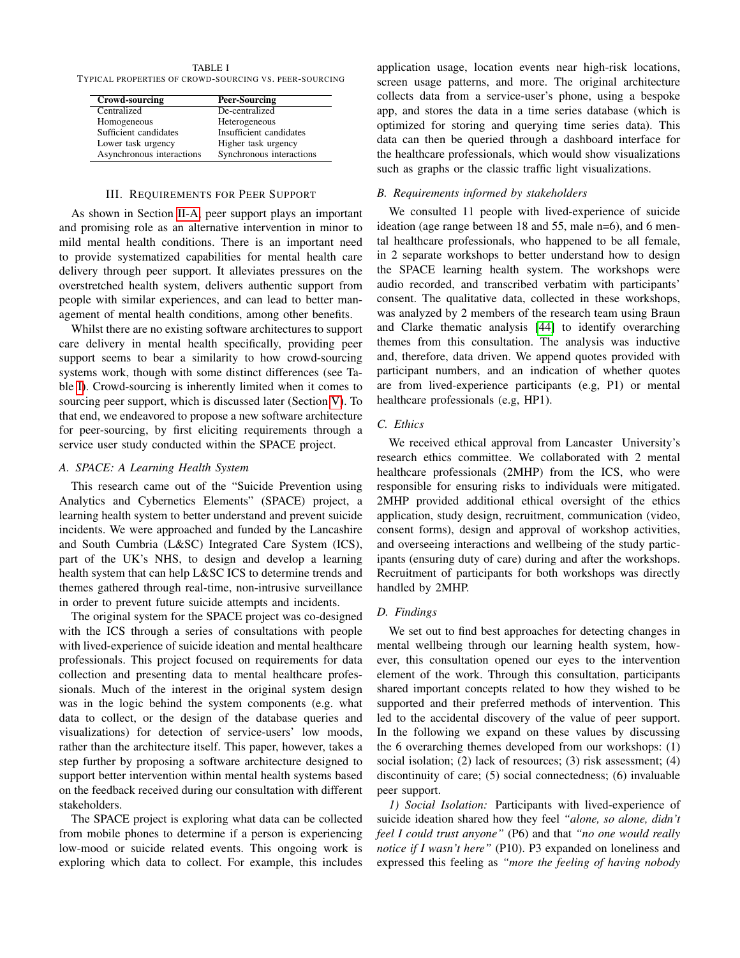<span id="page-3-1"></span>TABLE I TYPICAL PROPERTIES OF CROWD-SOURCING VS. PEER-SOURCING

| Crowd-sourcing            | <b>Peer-Sourcing</b>     |
|---------------------------|--------------------------|
| Centralized               | De-centralized           |
| Homogeneous               | Heterogeneous            |
| Sufficient candidates     | Insufficient candidates  |
| Lower task urgency        | Higher task urgency      |
| Asynchronous interactions | Synchronous interactions |

## III. REQUIREMENTS FOR PEER SUPPORT

<span id="page-3-0"></span>As shown in Section [II-A,](#page-1-0) peer support plays an important and promising role as an alternative intervention in minor to mild mental health conditions. There is an important need to provide systematized capabilities for mental health care delivery through peer support. It alleviates pressures on the overstretched health system, delivers authentic support from people with similar experiences, and can lead to better management of mental health conditions, among other benefits.

Whilst there are no existing software architectures to support care delivery in mental health specifically, providing peer support seems to bear a similarity to how crowd-sourcing systems work, though with some distinct differences (see Table [I\)](#page-3-1). Crowd-sourcing is inherently limited when it comes to sourcing peer support, which is discussed later (Section [V\)](#page-7-0). To that end, we endeavored to propose a new software architecture for peer-sourcing, by first eliciting requirements through a service user study conducted within the SPACE project.

#### *A. SPACE: A Learning Health System*

This research came out of the "Suicide Prevention using Analytics and Cybernetics Elements" (SPACE) project, a learning health system to better understand and prevent suicide incidents. We were approached and funded by the Lancashire and South Cumbria (L&SC) Integrated Care System (ICS), part of the UK's NHS, to design and develop a learning health system that can help L&SC ICS to determine trends and themes gathered through real-time, non-intrusive surveillance in order to prevent future suicide attempts and incidents.

The original system for the SPACE project was co-designed with the ICS through a series of consultations with people with lived-experience of suicide ideation and mental healthcare professionals. This project focused on requirements for data collection and presenting data to mental healthcare professionals. Much of the interest in the original system design was in the logic behind the system components (e.g. what data to collect, or the design of the database queries and visualizations) for detection of service-users' low moods, rather than the architecture itself. This paper, however, takes a step further by proposing a software architecture designed to support better intervention within mental health systems based on the feedback received during our consultation with different stakeholders.

The SPACE project is exploring what data can be collected from mobile phones to determine if a person is experiencing low-mood or suicide related events. This ongoing work is exploring which data to collect. For example, this includes

application usage, location events near high-risk locations, screen usage patterns, and more. The original architecture collects data from a service-user's phone, using a bespoke app, and stores the data in a time series database (which is optimized for storing and querying time series data). This data can then be queried through a dashboard interface for the healthcare professionals, which would show visualizations such as graphs or the classic traffic light visualizations.

# *B. Requirements informed by stakeholders*

We consulted 11 people with lived-experience of suicide ideation (age range between 18 and 55, male n=6), and 6 mental healthcare professionals, who happened to be all female, in 2 separate workshops to better understand how to design the SPACE learning health system. The workshops were audio recorded, and transcribed verbatim with participants' consent. The qualitative data, collected in these workshops, was analyzed by 2 members of the research team using Braun and Clarke thematic analysis [\[44\]](#page-9-30) to identify overarching themes from this consultation. The analysis was inductive and, therefore, data driven. We append quotes provided with participant numbers, and an indication of whether quotes are from lived-experience participants (e.g, P1) or mental healthcare professionals (e.g, HP1).

# *C. Ethics*

We received ethical approval from Lancaster University's research ethics committee. We collaborated with 2 mental healthcare professionals (2MHP) from the ICS, who were responsible for ensuring risks to individuals were mitigated. 2MHP provided additional ethical oversight of the ethics application, study design, recruitment, communication (video, consent forms), design and approval of workshop activities, and overseeing interactions and wellbeing of the study participants (ensuring duty of care) during and after the workshops. Recruitment of participants for both workshops was directly handled by 2MHP.

#### <span id="page-3-2"></span>*D. Findings*

We set out to find best approaches for detecting changes in mental wellbeing through our learning health system, however, this consultation opened our eyes to the intervention element of the work. Through this consultation, participants shared important concepts related to how they wished to be supported and their preferred methods of intervention. This led to the accidental discovery of the value of peer support. In the following we expand on these values by discussing the 6 overarching themes developed from our workshops: (1) social isolation; (2) lack of resources; (3) risk assessment; (4) discontinuity of care; (5) social connectedness; (6) invaluable peer support.

<span id="page-3-3"></span>*1) Social Isolation:* Participants with lived-experience of suicide ideation shared how they feel *"alone, so alone, didn't feel I could trust anyone"* (P6) and that *"no one would really notice if I wasn't here"* (P10). P3 expanded on loneliness and expressed this feeling as *"more the feeling of having nobody*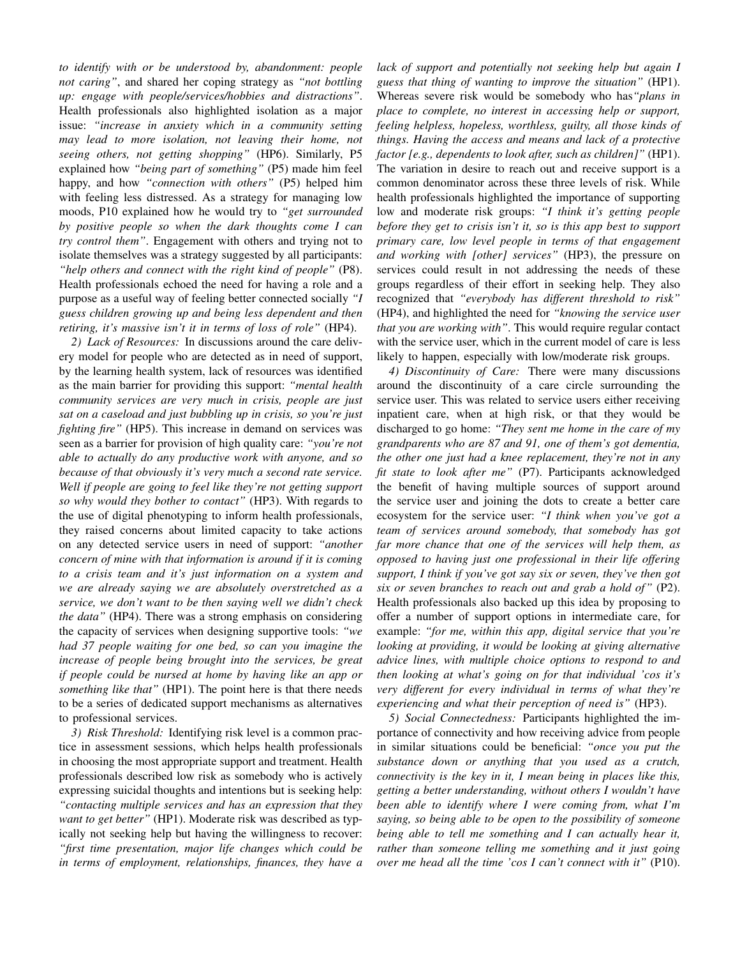*to identify with or be understood by, abandonment: people not caring"*, and shared her coping strategy as *"not bottling up: engage with people/services/hobbies and distractions"*. Health professionals also highlighted isolation as a major issue: *"increase in anxiety which in a community setting may lead to more isolation, not leaving their home, not seeing others, not getting shopping"* (HP6). Similarly, P5 explained how *"being part of something"* (P5) made him feel happy, and how *"connection with others"* (P5) helped him with feeling less distressed. As a strategy for managing low moods, P10 explained how he would try to *"get surrounded by positive people so when the dark thoughts come I can try control them"*. Engagement with others and trying not to isolate themselves was a strategy suggested by all participants: *"help others and connect with the right kind of people"* (P8). Health professionals echoed the need for having a role and a purpose as a useful way of feeling better connected socially *"I guess children growing up and being less dependent and then retiring, it's massive isn't it in terms of loss of role"* (HP4).

<span id="page-4-3"></span>*2) Lack of Resources:* In discussions around the care delivery model for people who are detected as in need of support, by the learning health system, lack of resources was identified as the main barrier for providing this support: *"mental health community services are very much in crisis, people are just sat on a caseload and just bubbling up in crisis, so you're just fighting fire"* (HP5). This increase in demand on services was seen as a barrier for provision of high quality care: *"you're not able to actually do any productive work with anyone, and so because of that obviously it's very much a second rate service. Well if people are going to feel like they're not getting support so why would they bother to contact"* (HP3). With regards to the use of digital phenotyping to inform health professionals, they raised concerns about limited capacity to take actions on any detected service users in need of support: *"another concern of mine with that information is around if it is coming to a crisis team and it's just information on a system and we are already saying we are absolutely overstretched as a service, we don't want to be then saying well we didn't check the data"* (HP4). There was a strong emphasis on considering the capacity of services when designing supportive tools: *"we had 37 people waiting for one bed, so can you imagine the increase of people being brought into the services, be great if people could be nursed at home by having like an app or something like that"* (HP1). The point here is that there needs to be a series of dedicated support mechanisms as alternatives to professional services.

<span id="page-4-0"></span>*3) Risk Threshold:* Identifying risk level is a common practice in assessment sessions, which helps health professionals in choosing the most appropriate support and treatment. Health professionals described low risk as somebody who is actively expressing suicidal thoughts and intentions but is seeking help: *"contacting multiple services and has an expression that they want to get better"* (HP1). Moderate risk was described as typically not seeking help but having the willingness to recover: *"first time presentation, major life changes which could be in terms of employment, relationships, finances, they have a*

*lack of support and potentially not seeking help but again I guess that thing of wanting to improve the situation"* (HP1). Whereas severe risk would be somebody who has*"plans in place to complete, no interest in accessing help or support, feeling helpless, hopeless, worthless, guilty, all those kinds of things. Having the access and means and lack of a protective factor [e.g., dependents to look after, such as children]"* (HP1). The variation in desire to reach out and receive support is a common denominator across these three levels of risk. While health professionals highlighted the importance of supporting low and moderate risk groups: *"I think it's getting people before they get to crisis isn't it, so is this app best to support primary care, low level people in terms of that engagement and working with [other] services"* (HP3), the pressure on services could result in not addressing the needs of these groups regardless of their effort in seeking help. They also recognized that *"everybody has different threshold to risk"* (HP4), and highlighted the need for *"knowing the service user that you are working with"*. This would require regular contact with the service user, which in the current model of care is less likely to happen, especially with low/moderate risk groups.

<span id="page-4-2"></span>*4) Discontinuity of Care:* There were many discussions around the discontinuity of a care circle surrounding the service user. This was related to service users either receiving inpatient care, when at high risk, or that they would be discharged to go home: *"They sent me home in the care of my grandparents who are 87 and 91, one of them's got dementia, the other one just had a knee replacement, they're not in any fit state to look after me"* (P7). Participants acknowledged the benefit of having multiple sources of support around the service user and joining the dots to create a better care ecosystem for the service user: *"I think when you've got a team of services around somebody, that somebody has got far more chance that one of the services will help them, as opposed to having just one professional in their life offering support, I think if you've got say six or seven, they've then got six or seven branches to reach out and grab a hold of"* (P2). Health professionals also backed up this idea by proposing to offer a number of support options in intermediate care, for example: *"for me, within this app, digital service that you're looking at providing, it would be looking at giving alternative advice lines, with multiple choice options to respond to and then looking at what's going on for that individual 'cos it's very different for every individual in terms of what they're experiencing and what their perception of need is"* (HP3).

<span id="page-4-1"></span>*5) Social Connectedness:* Participants highlighted the importance of connectivity and how receiving advice from people in similar situations could be beneficial: *"once you put the substance down or anything that you used as a crutch, connectivity is the key in it, I mean being in places like this, getting a better understanding, without others I wouldn't have been able to identify where I were coming from, what I'm saying, so being able to be open to the possibility of someone being able to tell me something and I can actually hear it, rather than someone telling me something and it just going over me head all the time 'cos I can't connect with it"* (P10).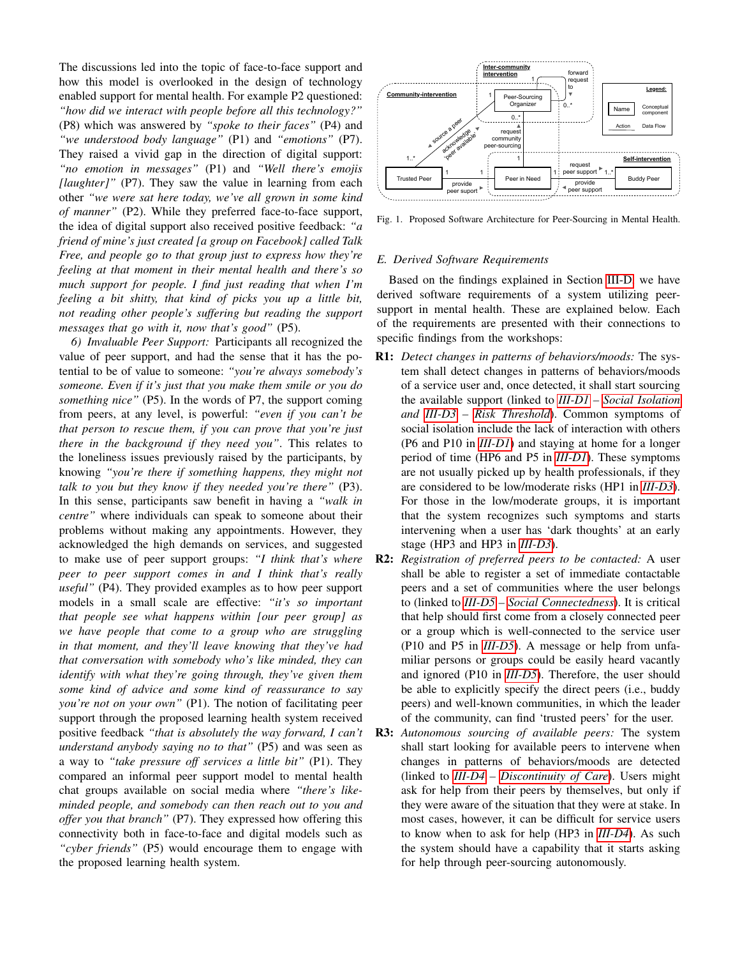The discussions led into the topic of face-to-face support and how this model is overlooked in the design of technology enabled support for mental health. For example P2 questioned: *"how did we interact with people before all this technology?"* (P8) which was answered by *"spoke to their faces"* (P4) and *"we understood body language"* (P1) and *"emotions"* (P7). They raised a vivid gap in the direction of digital support: *"no emotion in messages"* (P1) and *"Well there's emojis [laughter]"* (P7). They saw the value in learning from each other *"we were sat here today, we've all grown in some kind of manner"* (P2). While they preferred face-to-face support, the idea of digital support also received positive feedback: *"a friend of mine's just created [a group on Facebook] called Talk Free, and people go to that group just to express how they're feeling at that moment in their mental health and there's so much support for people. I find just reading that when I'm feeling a bit shitty, that kind of picks you up a little bit, not reading other people's suffering but reading the support messages that go with it, now that's good"* (P5).

<span id="page-5-1"></span>*6) Invaluable Peer Support:* Participants all recognized the value of peer support, and had the sense that it has the potential to be of value to someone: *"you're always somebody's someone. Even if it's just that you make them smile or you do something nice"* (P5). In the words of P7, the support coming from peers, at any level, is powerful: *"even if you can't be that person to rescue them, if you can prove that you're just there in the background if they need you"*. This relates to the loneliness issues previously raised by the participants, by knowing *"you're there if something happens, they might not talk to you but they know if they needed you're there"* (P3). In this sense, participants saw benefit in having a *"walk in centre"* where individuals can speak to someone about their problems without making any appointments. However, they acknowledged the high demands on services, and suggested to make use of peer support groups: *"I think that's where peer to peer support comes in and I think that's really useful"* (P4). They provided examples as to how peer support models in a small scale are effective: *"it's so important that people see what happens within [our peer group] as we have people that come to a group who are struggling in that moment, and they'll leave knowing that they've had that conversation with somebody who's like minded, they can identify with what they're going through, they've given them some kind of advice and some kind of reassurance to say you're not on your own"* (P1). The notion of facilitating peer support through the proposed learning health system received positive feedback *"that is absolutely the way forward, I can't understand anybody saying no to that"* (P5) and was seen as a way to *"take pressure off services a little bit"* (P1). They compared an informal peer support model to mental health chat groups available on social media where *"there's likeminded people, and somebody can then reach out to you and offer you that branch"* (P7). They expressed how offering this connectivity both in face-to-face and digital models such as *"cyber friends"* (P5) would encourage them to engage with the proposed learning health system.



<span id="page-5-2"></span>Fig. 1. Proposed Software Architecture for Peer-Sourcing in Mental Health.

## <span id="page-5-0"></span>*E. Derived Software Requirements*

Based on the findings explained in Section [III-D,](#page-3-2) we have derived software requirements of a system utilizing peersupport in mental health. These are explained below. Each of the requirements are presented with their connections to specific findings from the workshops:

- R1: *Detect changes in patterns of behaviors/moods:* The system shall detect changes in patterns of behaviors/moods of a service user and, once detected, it shall start sourcing the available support (linked to *[III-D1](#page-3-3) – [Social Isolation](#page-3-3) and [III-D3](#page-4-0) – [Risk Threshold](#page-4-0)*). Common symptoms of social isolation include the lack of interaction with others (P6 and P10 in *[III-D1](#page-3-3)*) and staying at home for a longer period of time (HP6 and P5 in *[III-D1](#page-3-3)*). These symptoms are not usually picked up by health professionals, if they are considered to be low/moderate risks (HP1 in *[III-D3](#page-4-0)*). For those in the low/moderate groups, it is important that the system recognizes such symptoms and starts intervening when a user has 'dark thoughts' at an early stage (HP3 and HP3 in *[III-D3](#page-4-0)*).
- R2: *Registration of preferred peers to be contacted:* A user shall be able to register a set of immediate contactable peers and a set of communities where the user belongs to (linked to *[III-D5](#page-4-1) – [Social Connectedness](#page-4-1)*). It is critical that help should first come from a closely connected peer or a group which is well-connected to the service user (P10 and P5 in *[III-D5](#page-4-1)*). A message or help from unfamiliar persons or groups could be easily heard vacantly and ignored (P10 in *[III-D5](#page-4-1)*). Therefore, the user should be able to explicitly specify the direct peers (i.e., buddy peers) and well-known communities, in which the leader of the community, can find 'trusted peers' for the user.
- R3: *Autonomous sourcing of available peers:* The system shall start looking for available peers to intervene when changes in patterns of behaviors/moods are detected (linked to *[III-D4](#page-4-2) – [Discontinuity of Care](#page-4-2)*). Users might ask for help from their peers by themselves, but only if they were aware of the situation that they were at stake. In most cases, however, it can be difficult for service users to know when to ask for help (HP3 in *[III-D4](#page-4-2)*). As such the system should have a capability that it starts asking for help through peer-sourcing autonomously.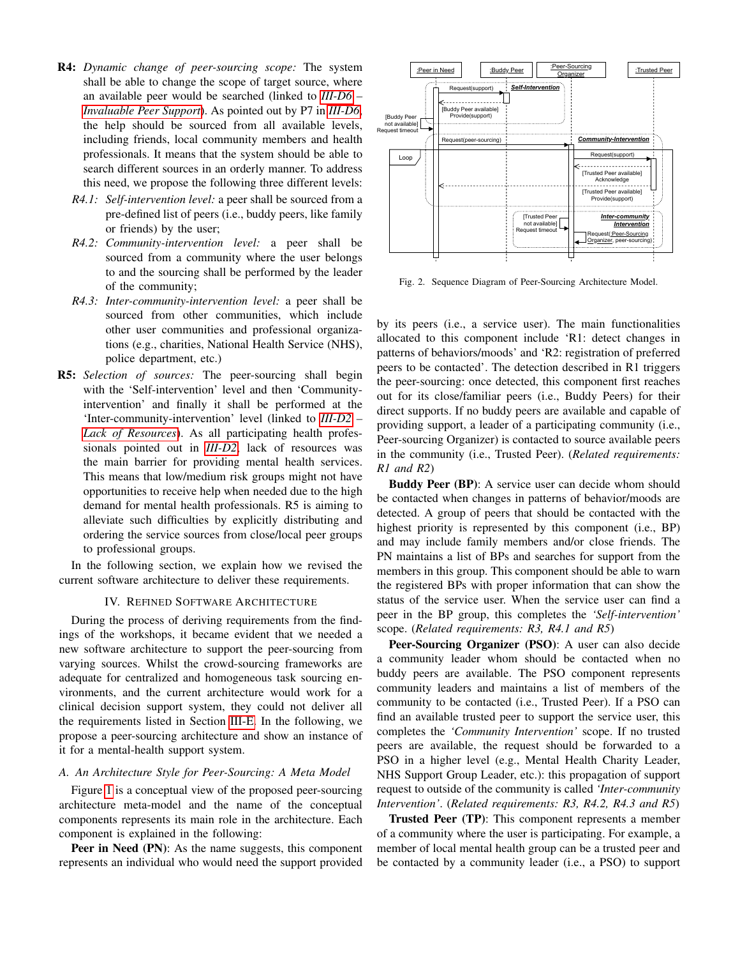- R4: *Dynamic change of peer-sourcing scope:* The system shall be able to change the scope of target source, where an available peer would be searched (linked to *[III-D6](#page-5-1) – [Invaluable Peer Support](#page-5-1)*). As pointed out by P7 in *[III-D6](#page-5-1)*, the help should be sourced from all available levels, including friends, local community members and health professionals. It means that the system should be able to search different sources in an orderly manner. To address this need, we propose the following three different levels:
	- *R4.1: Self-intervention level:* a peer shall be sourced from a pre-defined list of peers (i.e., buddy peers, like family or friends) by the user;
	- *R4.2: Community-intervention level:* a peer shall be sourced from a community where the user belongs to and the sourcing shall be performed by the leader of the community;
	- *R4.3: Inter-community-intervention level:* a peer shall be sourced from other communities, which include other user communities and professional organizations (e.g., charities, National Health Service (NHS), police department, etc.)
- R5: *Selection of sources:* The peer-sourcing shall begin with the 'Self-intervention' level and then 'Communityintervention' and finally it shall be performed at the 'Inter-community-intervention' level (linked to *[III-D2](#page-4-3) – [Lack of Resources](#page-4-3)*). As all participating health professionals pointed out in *[III-D2](#page-4-3)*, lack of resources was the main barrier for providing mental health services. This means that low/medium risk groups might not have opportunities to receive help when needed due to the high demand for mental health professionals. R5 is aiming to alleviate such difficulties by explicitly distributing and ordering the service sources from close/local peer groups to professional groups.

In the following section, we explain how we revised the current software architecture to deliver these requirements.

#### IV. REFINED SOFTWARE ARCHITECTURE

<span id="page-6-0"></span>During the process of deriving requirements from the findings of the workshops, it became evident that we needed a new software architecture to support the peer-sourcing from varying sources. Whilst the crowd-sourcing frameworks are adequate for centralized and homogeneous task sourcing environments, and the current architecture would work for a clinical decision support system, they could not deliver all the requirements listed in Section [III-E.](#page-5-0) In the following, we propose a peer-sourcing architecture and show an instance of it for a mental-health support system.

# *A. An Architecture Style for Peer-Sourcing: A Meta Model*

Figure [1](#page-5-2) is a conceptual view of the proposed peer-sourcing architecture meta-model and the name of the conceptual components represents its main role in the architecture. Each component is explained in the following:

Peer in Need (PN): As the name suggests, this component represents an individual who would need the support provided



<span id="page-6-1"></span>Fig. 2. Sequence Diagram of Peer-Sourcing Architecture Model.

by its peers (i.e., a service user). The main functionalities allocated to this component include 'R1: detect changes in patterns of behaviors/moods' and 'R2: registration of preferred peers to be contacted'. The detection described in R1 triggers the peer-sourcing: once detected, this component first reaches out for its close/familiar peers (i.e., Buddy Peers) for their direct supports. If no buddy peers are available and capable of providing support, a leader of a participating community (i.e., Peer-sourcing Organizer) is contacted to source available peers in the community (i.e., Trusted Peer). (*Related requirements: R1 and R2*)

Buddy Peer (BP): A service user can decide whom should be contacted when changes in patterns of behavior/moods are detected. A group of peers that should be contacted with the highest priority is represented by this component (i.e., BP) and may include family members and/or close friends. The PN maintains a list of BPs and searches for support from the members in this group. This component should be able to warn the registered BPs with proper information that can show the status of the service user. When the service user can find a peer in the BP group, this completes the *'Self-intervention'* scope. (*Related requirements: R3, R4.1 and R5*)

Peer-Sourcing Organizer (PSO): A user can also decide a community leader whom should be contacted when no buddy peers are available. The PSO component represents community leaders and maintains a list of members of the community to be contacted (i.e., Trusted Peer). If a PSO can find an available trusted peer to support the service user, this completes the *'Community Intervention'* scope. If no trusted peers are available, the request should be forwarded to a PSO in a higher level (e.g., Mental Health Charity Leader, NHS Support Group Leader, etc.): this propagation of support request to outside of the community is called *'Inter-community Intervention'*. (*Related requirements: R3, R4.2, R4.3 and R5*)

Trusted Peer (TP): This component represents a member of a community where the user is participating. For example, a member of local mental health group can be a trusted peer and be contacted by a community leader (i.e., a PSO) to support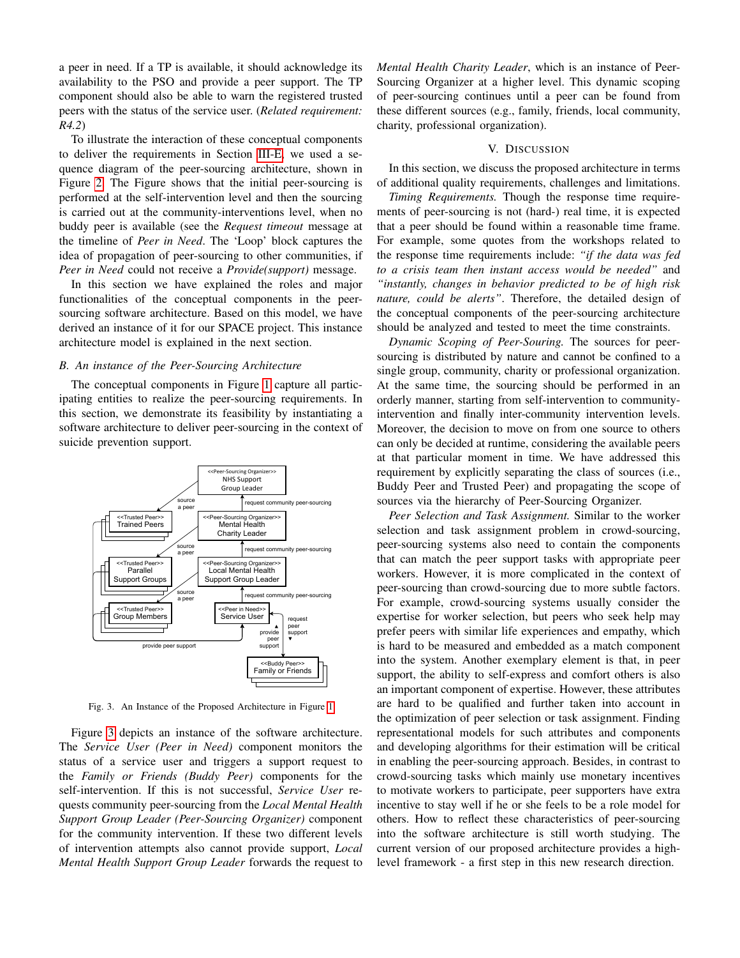a peer in need. If a TP is available, it should acknowledge its availability to the PSO and provide a peer support. The TP component should also be able to warn the registered trusted peers with the status of the service user. (*Related requirement: R4.2*)

To illustrate the interaction of these conceptual components to deliver the requirements in Section [III-E,](#page-5-0) we used a sequence diagram of the peer-sourcing architecture, shown in Figure [2.](#page-6-1) The Figure shows that the initial peer-sourcing is performed at the self-intervention level and then the sourcing is carried out at the community-interventions level, when no buddy peer is available (see the *Request timeout* message at the timeline of *Peer in Need*. The 'Loop' block captures the idea of propagation of peer-sourcing to other communities, if *Peer in Need* could not receive a *Provide(support)* message.

In this section we have explained the roles and major functionalities of the conceptual components in the peersourcing software architecture. Based on this model, we have derived an instance of it for our SPACE project. This instance architecture model is explained in the next section.

#### *B. An instance of the Peer-Sourcing Architecture*

The conceptual components in Figure [1](#page-5-2) capture all participating entities to realize the peer-sourcing requirements. In this section, we demonstrate its feasibility by instantiating a software architecture to deliver peer-sourcing in the context of suicide prevention support.



<span id="page-7-1"></span>Fig. 3. An Instance of the Proposed Architecture in Figure [1](#page-5-2)

Figure [3](#page-7-1) depicts an instance of the software architecture. The *Service User (Peer in Need)* component monitors the status of a service user and triggers a support request to the *Family or Friends (Buddy Peer)* components for the self-intervention. If this is not successful, *Service User* requests community peer-sourcing from the *Local Mental Health Support Group Leader (Peer-Sourcing Organizer)* component for the community intervention. If these two different levels of intervention attempts also cannot provide support, *Local Mental Health Support Group Leader* forwards the request to *Mental Health Charity Leader*, which is an instance of Peer-Sourcing Organizer at a higher level. This dynamic scoping of peer-sourcing continues until a peer can be found from these different sources (e.g., family, friends, local community, charity, professional organization).

#### V. DISCUSSION

<span id="page-7-0"></span>In this section, we discuss the proposed architecture in terms of additional quality requirements, challenges and limitations.

*Timing Requirements.* Though the response time requirements of peer-sourcing is not (hard-) real time, it is expected that a peer should be found within a reasonable time frame. For example, some quotes from the workshops related to the response time requirements include: *"if the data was fed to a crisis team then instant access would be needed"* and *"instantly, changes in behavior predicted to be of high risk nature, could be alerts"*. Therefore, the detailed design of the conceptual components of the peer-sourcing architecture should be analyzed and tested to meet the time constraints.

*Dynamic Scoping of Peer-Souring.* The sources for peersourcing is distributed by nature and cannot be confined to a single group, community, charity or professional organization. At the same time, the sourcing should be performed in an orderly manner, starting from self-intervention to communityintervention and finally inter-community intervention levels. Moreover, the decision to move on from one source to others can only be decided at runtime, considering the available peers at that particular moment in time. We have addressed this requirement by explicitly separating the class of sources (i.e., Buddy Peer and Trusted Peer) and propagating the scope of sources via the hierarchy of Peer-Sourcing Organizer.

*Peer Selection and Task Assignment.* Similar to the worker selection and task assignment problem in crowd-sourcing, peer-sourcing systems also need to contain the components that can match the peer support tasks with appropriate peer workers. However, it is more complicated in the context of peer-sourcing than crowd-sourcing due to more subtle factors. For example, crowd-sourcing systems usually consider the expertise for worker selection, but peers who seek help may prefer peers with similar life experiences and empathy, which is hard to be measured and embedded as a match component into the system. Another exemplary element is that, in peer support, the ability to self-express and comfort others is also an important component of expertise. However, these attributes are hard to be qualified and further taken into account in the optimization of peer selection or task assignment. Finding representational models for such attributes and components and developing algorithms for their estimation will be critical in enabling the peer-sourcing approach. Besides, in contrast to crowd-sourcing tasks which mainly use monetary incentives to motivate workers to participate, peer supporters have extra incentive to stay well if he or she feels to be a role model for others. How to reflect these characteristics of peer-sourcing into the software architecture is still worth studying. The current version of our proposed architecture provides a highlevel framework - a first step in this new research direction.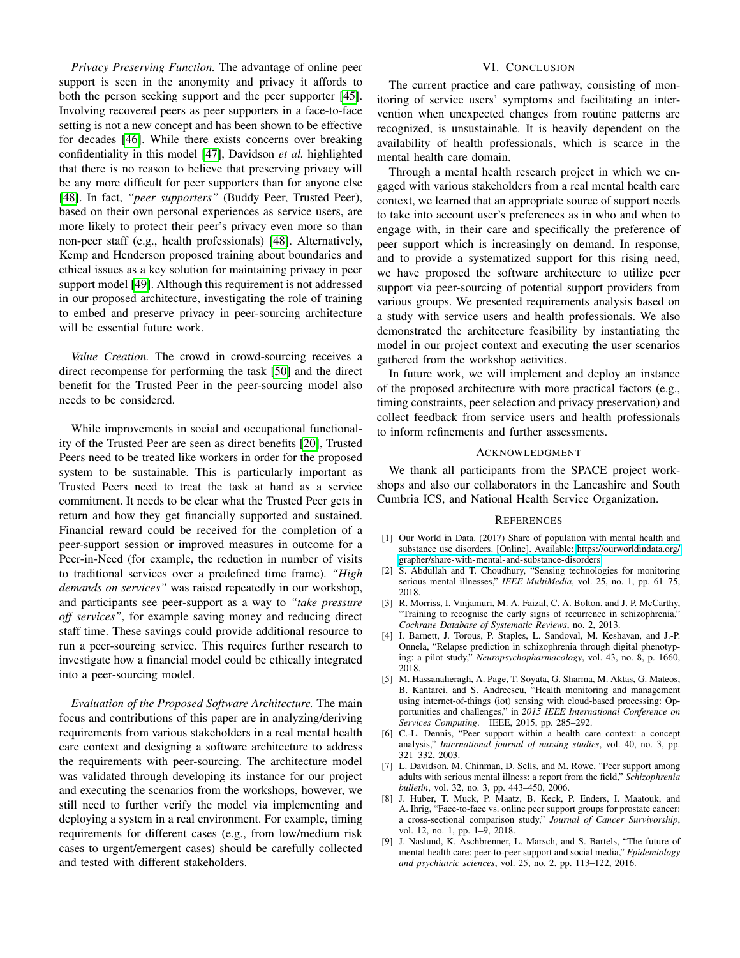*Privacy Preserving Function.* The advantage of online peer support is seen in the anonymity and privacy it affords to both the person seeking support and the peer supporter [\[45\]](#page-9-31). Involving recovered peers as peer supporters in a face-to-face setting is not a new concept and has been shown to be effective for decades [\[46\]](#page-9-32). While there exists concerns over breaking confidentiality in this model [\[47\]](#page-9-33), Davidson *et al.* highlighted that there is no reason to believe that preserving privacy will be any more difficult for peer supporters than for anyone else [\[48\]](#page-9-34). In fact, *"peer supporters"* (Buddy Peer, Trusted Peer), based on their own personal experiences as service users, are more likely to protect their peer's privacy even more so than non-peer staff (e.g., health professionals) [\[48\]](#page-9-34). Alternatively, Kemp and Henderson proposed training about boundaries and ethical issues as a key solution for maintaining privacy in peer support model [\[49\]](#page-9-35). Although this requirement is not addressed in our proposed architecture, investigating the role of training to embed and preserve privacy in peer-sourcing architecture will be essential future work.

*Value Creation.* The crowd in crowd-sourcing receives a direct recompense for performing the task [\[50\]](#page-9-36) and the direct benefit for the Trusted Peer in the peer-sourcing model also needs to be considered.

While improvements in social and occupational functionality of the Trusted Peer are seen as direct benefits [\[20\]](#page-9-10), Trusted Peers need to be treated like workers in order for the proposed system to be sustainable. This is particularly important as Trusted Peers need to treat the task at hand as a service commitment. It needs to be clear what the Trusted Peer gets in return and how they get financially supported and sustained. Financial reward could be received for the completion of a peer-support session or improved measures in outcome for a Peer-in-Need (for example, the reduction in number of visits to traditional services over a predefined time frame). *"High demands on services"* was raised repeatedly in our workshop, and participants see peer-support as a way to *"take pressure off services"*, for example saving money and reducing direct staff time. These savings could provide additional resource to run a peer-sourcing service. This requires further research to investigate how a financial model could be ethically integrated into a peer-sourcing model.

*Evaluation of the Proposed Software Architecture.* The main focus and contributions of this paper are in analyzing/deriving requirements from various stakeholders in a real mental health care context and designing a software architecture to address the requirements with peer-sourcing. The architecture model was validated through developing its instance for our project and executing the scenarios from the workshops, however, we still need to further verify the model via implementing and deploying a system in a real environment. For example, timing requirements for different cases (e.g., from low/medium risk cases to urgent/emergent cases) should be carefully collected and tested with different stakeholders.

# VI. CONCLUSION

<span id="page-8-9"></span>The current practice and care pathway, consisting of monitoring of service users' symptoms and facilitating an intervention when unexpected changes from routine patterns are recognized, is unsustainable. It is heavily dependent on the availability of health professionals, which is scarce in the mental health care domain.

Through a mental health research project in which we engaged with various stakeholders from a real mental health care context, we learned that an appropriate source of support needs to take into account user's preferences as in who and when to engage with, in their care and specifically the preference of peer support which is increasingly on demand. In response, and to provide a systematized support for this rising need, we have proposed the software architecture to utilize peer support via peer-sourcing of potential support providers from various groups. We presented requirements analysis based on a study with service users and health professionals. We also demonstrated the architecture feasibility by instantiating the model in our project context and executing the user scenarios gathered from the workshop activities.

In future work, we will implement and deploy an instance of the proposed architecture with more practical factors (e.g., timing constraints, peer selection and privacy preservation) and collect feedback from service users and health professionals to inform refinements and further assessments.

#### ACKNOWLEDGMENT

We thank all participants from the SPACE project workshops and also our collaborators in the Lancashire and South Cumbria ICS, and National Health Service Organization.

# **REFERENCES**

- <span id="page-8-0"></span>[1] Our World in Data. (2017) Share of population with mental health and substance use disorders. [Online]. Available: [https://ourworldindata.org/](https://ourworldindata.org/grapher/share-with-mental-and-substance-disorders) [grapher/share-with-mental-and-substance-disorders](https://ourworldindata.org/grapher/share-with-mental-and-substance-disorders)
- <span id="page-8-1"></span>[2] S. Abdullah and T. Choudhury, "Sensing technologies for monitoring serious mental illnesses," *IEEE MultiMedia*, vol. 25, no. 1, pp. 61–75, 2018.
- <span id="page-8-2"></span>[3] R. Morriss, I. Vinjamuri, M. A. Faizal, C. A. Bolton, and J. P. McCarthy, "Training to recognise the early signs of recurrence in schizophrenia," *Cochrane Database of Systematic Reviews*, no. 2, 2013.
- <span id="page-8-3"></span>[4] I. Barnett, J. Torous, P. Staples, L. Sandoval, M. Keshavan, and J.-P. Onnela, "Relapse prediction in schizophrenia through digital phenotyping: a pilot study," *Neuropsychopharmacology*, vol. 43, no. 8, p. 1660, 2018.
- <span id="page-8-4"></span>[5] M. Hassanalieragh, A. Page, T. Soyata, G. Sharma, M. Aktas, G. Mateos, B. Kantarci, and S. Andreescu, "Health monitoring and management using internet-of-things (iot) sensing with cloud-based processing: Opportunities and challenges," in *2015 IEEE International Conference on Services Computing*. IEEE, 2015, pp. 285–292.
- <span id="page-8-5"></span>[6] C.-L. Dennis, "Peer support within a health care context: a concept analysis," *International journal of nursing studies*, vol. 40, no. 3, pp. 321–332, 2003.
- <span id="page-8-6"></span>[7] L. Davidson, M. Chinman, D. Sells, and M. Rowe, "Peer support among adults with serious mental illness: a report from the field," *Schizophrenia bulletin*, vol. 32, no. 3, pp. 443–450, 2006.
- <span id="page-8-7"></span>[8] J. Huber, T. Muck, P. Maatz, B. Keck, P. Enders, I. Maatouk, and A. Ihrig, "Face-to-face vs. online peer support groups for prostate cancer: a cross-sectional comparison study," *Journal of Cancer Survivorship*, vol. 12, no. 1, pp. 1-9, 2018.
- <span id="page-8-8"></span>[9] J. Naslund, K. Aschbrenner, L. Marsch, and S. Bartels, "The future of mental health care: peer-to-peer support and social media," *Epidemiology and psychiatric sciences*, vol. 25, no. 2, pp. 113–122, 2016.